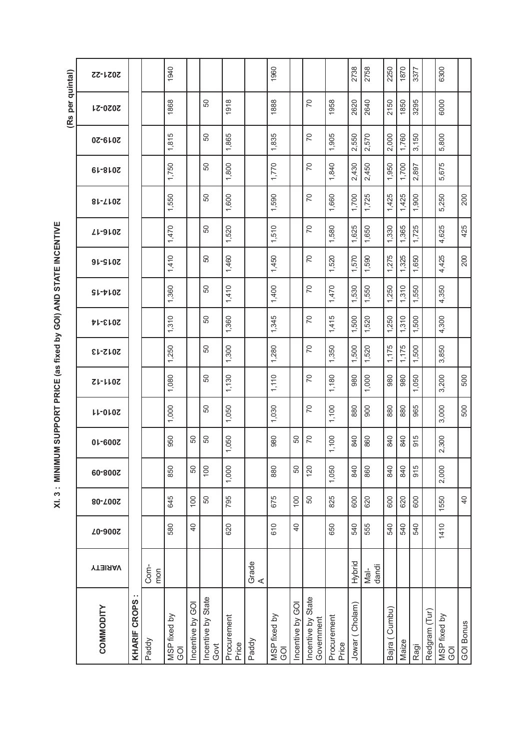XI. 3: MINIMUM SUPPORT PRICE (as fixed by GOI) AND STATE INCENTIVE **XI. 3 : MINIMUM SUPPORT PRICE (as fixed by GOI) AND STATE INCENTIVE**

|                                  |                |                |                |         |                |                |           |         |                |                |                |                |                |                |                | (Rs per quintal) |         |
|----------------------------------|----------------|----------------|----------------|---------|----------------|----------------|-----------|---------|----------------|----------------|----------------|----------------|----------------|----------------|----------------|------------------|---------|
| COMMODITY                        | <b>YTEIRAV</b> | Z0-900Z        | 80-700S        | 60-800Z | 01-600Z        | <b>LL-0L0Z</b> | $ZL-LLOZ$ | 2012-13 | <b>PL-SIOS</b> | $S1 - P10Z$    | <b>2015-16</b> | <b>ZL-9L0Z</b> | 81-710S        | <b>2018-19</b> | 0Z-610Z        | 2020-21          | 2021-22 |
| <b>KHARIF CROPS</b>              |                |                |                |         |                |                |           |         |                |                |                |                |                |                |                |                  |         |
| Paddy                            | Com-<br>mon    |                |                |         |                |                |           |         |                |                |                |                |                |                |                |                  |         |
| MSP fixed by<br><u>ଚ</u>         |                | 580            | 645            | 850     | 950            | 1,000          | 1,080     | 1,250   | 1,310          | 1,360          | 1,410          | 1,470          | 1,550          | 1,750          | 1,815          | 1868             | 1940    |
| Incentive by GOI                 |                | $\overline{a}$ | 100            | SO      | 50             |                |           |         |                |                |                |                |                |                |                |                  |         |
| Incentive by State<br>Govt       |                |                | 50             | 100     | 50             | 50             | 50        | 50      | 50             | 50             | 50             | 50             | 50             | 50             | 50             | 50               |         |
| Procurement<br>Price             |                | 620            | 795            | 1,000   | 1,050          | 1,050          | 1,130     | 1,300   | 1,360          | 1,410          | 1,460          | 1,520          | 1,600          | 1,800          | 1,865          | 1918             |         |
| Paddy                            | Grade<br>A     |                |                |         |                |                |           |         |                |                |                |                |                |                |                |                  |         |
| MSP fixed by<br><b>GO</b>        |                | 610            | 675            | 880     | 980            | 1,030          | 1,110     | 1,280   | 1,345          | 1,400          | 1,450          | 1,510          | 1,590          | 1,770          | 1,835          | 1888             | 1960    |
| Incentive by GOI                 |                | $\overline{a}$ | 100            | 50      | 50             |                |           |         |                |                |                |                |                |                |                |                  |         |
| Incentive by State<br>Government |                |                | 50             | 120     | $\overline{C}$ | $\overline{C}$ | PO        | 20      | $\overline{C}$ | $\overline{C}$ | $\overline{C}$ | PO             | $\overline{C}$ | $\overline{C}$ | $\overline{C}$ | PO               |         |
| Procurement<br>Price             |                | 650            | 825            | 1,050   | 1,100          | 1,100          | 1,180     | 1,350   | 1,415          | 1,470          | 1,520          | 1,580          | 1,660          | 1,840          | 1,905          | 1958             |         |
| Jowar (Cholam)                   | Hybrid         | 540            | 600            | 840     | 840            | 880            | 980       | 1,500   | 1,500          | 1,530          | 1,570          | 1,625          | 1,700          | 2,430          | 2,550          | 2620             | 2738    |
|                                  | Mal-<br>dandi  | 555            | 620            | 860     | 860            | 900            | 1,000     | 1,520   | 1,520          | 1,550          | 1,590          | 1,650          | 1,725          | 2,450          | 2,570          | 2640             | 2758    |
| Bajra (Cumbu)                    |                | 540            | 600            | 840     | 840            | 880            | 980       | 1,175   | 1,250          | 1,250          | 1,275          | 1,330          | 1,425          | 1,950          | 2,000          | 2150             | 2250    |
| Maize                            |                | 540            | 620            | 840     | 840            | 880            | 980       | 1,175   | 1,310          | 1,310          | 1,325          | 1,365          | 1,425          | 1,700          | 1,760          | 1850             | 1870    |
| Ragi                             |                | 540            | 600            | 915     | 915            | 965            | 1,050     | 1,500   | 1,500          | 1,550          | 1,650          | 1,725          | 1,900          | 2,897          | 3,150          | 3295             | 3377    |
| Redgram (Tur)                    |                |                |                |         |                |                |           |         |                |                |                |                |                |                |                |                  |         |
| MSP fixed by<br><b>GOI</b>       |                | 1410           | 1550           | 2,000   | 2,300          | 3,000          | 3,200     | 3,850   | 4,300          | 4,350          | 4,425          | 4,625          | 5,250          | 5,675          | 5,800          | 6000             | 6300    |
| <b>GOI Bonus</b>                 |                |                | $\overline{4}$ |         |                | 500            | 500       |         |                |                | 200            | 425            | 200            |                |                |                  |         |